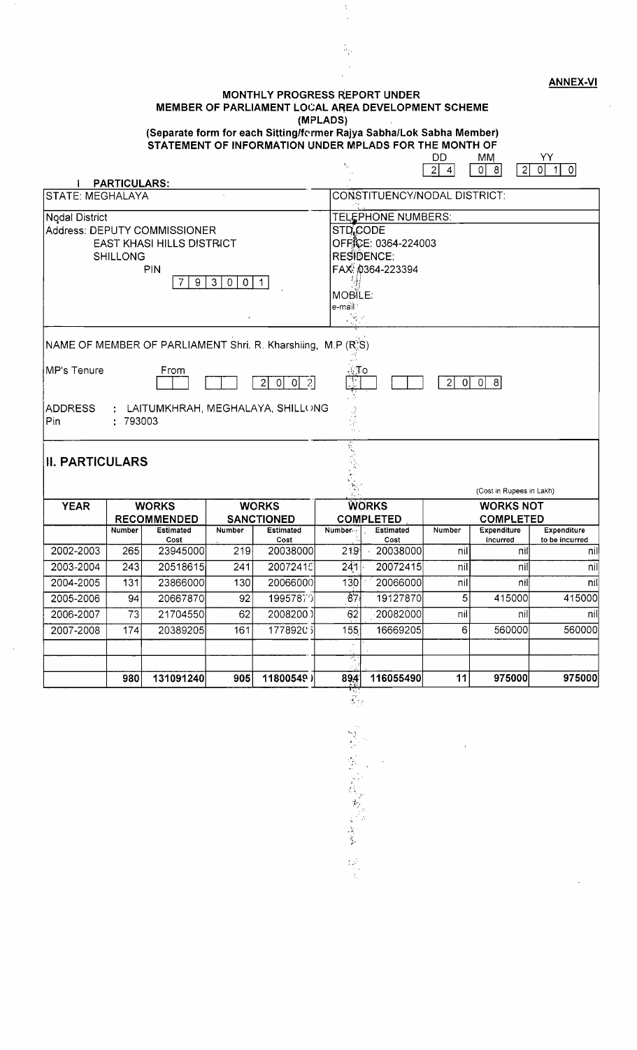**ANNEX-VI** 

 ${\sf YY}$ 

## MONTHLY PROGRESS REPORT UNDER MEMBER OF PARLIAMENT LOCAL AREA DEVELOPMENT SCHEME (MPLADS) (Separate form for each Sitting/former Rajya Sabha/Lok Sabha Member)

 $\overline{\phantom{a}}$ 

STATEMENT OF INFORMATION UNDER MPLADS FOR THE MONTH OF  $DD$ **MM** 

 $\ddot{\phantom{a}}$ 

| 2002-2003<br>2003-2004<br>2004-2005<br>2005-2006<br>2006-2007<br>2007-2008 | <b>Number</b><br>265<br>243<br>131<br>94<br>73<br>174 | <b>Estimated</b><br>Cost<br>23945000<br>20518615<br>23866000<br>20667870<br>21704550<br>20389205 | Number<br>$219 -$<br>241<br>130<br>92<br>62<br>161 | <b>Estimated</b><br>Cost<br>20038000<br>20072415<br>20066000<br>19957875<br>2008200.)<br>17789205 | Number<br>219<br>241<br>130<br>87.<br>62<br>155<br>K, | Estimated<br>Cost<br>20038000<br>20072415<br>20066000<br>19127870<br>20082000<br>16669205 | Number<br>nil<br>nil<br>nil<br>5<br>nil<br>6 | <b>Expenditure</b><br>incurred<br>nil<br>nil<br>nil<br>415000<br>nil<br>560000 | Expenditure<br>to be incurred<br>nill<br>nill<br>nil<br>415000<br>nil<br>560000 |  |
|----------------------------------------------------------------------------|-------------------------------------------------------|--------------------------------------------------------------------------------------------------|----------------------------------------------------|---------------------------------------------------------------------------------------------------|-------------------------------------------------------|-------------------------------------------------------------------------------------------|----------------------------------------------|--------------------------------------------------------------------------------|---------------------------------------------------------------------------------|--|
|                                                                            |                                                       |                                                                                                  |                                                    |                                                                                                   |                                                       |                                                                                           |                                              |                                                                                |                                                                                 |  |
|                                                                            |                                                       |                                                                                                  |                                                    |                                                                                                   |                                                       |                                                                                           |                                              |                                                                                |                                                                                 |  |
|                                                                            |                                                       |                                                                                                  |                                                    |                                                                                                   |                                                       |                                                                                           |                                              |                                                                                |                                                                                 |  |
|                                                                            |                                                       |                                                                                                  |                                                    |                                                                                                   |                                                       |                                                                                           |                                              |                                                                                |                                                                                 |  |
|                                                                            |                                                       |                                                                                                  |                                                    |                                                                                                   |                                                       |                                                                                           |                                              |                                                                                |                                                                                 |  |
|                                                                            |                                                       |                                                                                                  |                                                    |                                                                                                   |                                                       |                                                                                           |                                              |                                                                                |                                                                                 |  |
|                                                                            |                                                       |                                                                                                  |                                                    |                                                                                                   |                                                       |                                                                                           |                                              |                                                                                |                                                                                 |  |
|                                                                            |                                                       |                                                                                                  |                                                    |                                                                                                   |                                                       |                                                                                           |                                              |                                                                                |                                                                                 |  |
| <b>YEAR</b><br><b>WORKS</b><br><b>RECOMMENDED</b>                          |                                                       |                                                                                                  | <b>WORKS</b><br><b>SANCTIONED</b>                  | <b>WORKS</b><br><b>COMPLETED</b>                                                                  |                                                       | <b>WORKS NOT</b><br><b>COMPLETED</b>                                                      |                                              |                                                                                |                                                                                 |  |
| <b>II. PARTICULARS</b>                                                     |                                                       |                                                                                                  |                                                    |                                                                                                   |                                                       |                                                                                           |                                              | (Cost in Rupees in Lakh)                                                       |                                                                                 |  |
| ADDRESS<br>Pin                                                             | : 793003                                              |                                                                                                  |                                                    | 0 <br>$\overline{c}$<br> 0 <br>-2<br>: LAITUMKHRAH, MEGHALAYA, SHILLONG                           | र                                                     |                                                                                           | $\overline{2}$<br>-O I                       | 0 <br>- 81                                                                     |                                                                                 |  |
| MP's Tenure                                                                |                                                       | From                                                                                             |                                                    |                                                                                                   | $\cdot$ , To                                          |                                                                                           |                                              |                                                                                |                                                                                 |  |
|                                                                            |                                                       |                                                                                                  |                                                    | NAME OF MEMBER OF PARLIAMENT Shri. R. Kharshiing, M.P (R.S)                                       |                                                       |                                                                                           |                                              |                                                                                |                                                                                 |  |
|                                                                            |                                                       |                                                                                                  |                                                    |                                                                                                   | e-mail '<br>$\left\vert \theta \right\rangle$ .       |                                                                                           |                                              |                                                                                |                                                                                 |  |
| PIN<br>9<br>$\mathbf{3}$<br>$\circ$<br>$0$   1<br>7                        |                                                       |                                                                                                  |                                                    |                                                                                                   | FAX: 0364-223394<br><b>MOBILE:</b>                    |                                                                                           |                                              |                                                                                |                                                                                 |  |
|                                                                            | <b>SHILLONG</b>                                       |                                                                                                  |                                                    |                                                                                                   | <b>RESIDENCE:</b>                                     |                                                                                           |                                              |                                                                                |                                                                                 |  |
|                                                                            |                                                       | <b>EAST KHASI HILLS DISTRICT</b>                                                                 |                                                    |                                                                                                   |                                                       | OFFICE: 0364-224003                                                                       |                                              |                                                                                |                                                                                 |  |
| <b>Nodal District</b>                                                      |                                                       | Address: DEPUTY COMMISSIONER                                                                     |                                                    |                                                                                                   | TELEPHONE NUMBERS:<br>STD <sub>r</sub> CODE           |                                                                                           |                                              |                                                                                |                                                                                 |  |
|                                                                            |                                                       |                                                                                                  |                                                    |                                                                                                   |                                                       |                                                                                           |                                              |                                                                                |                                                                                 |  |
| <b>STATE: MEGHALAYA</b>                                                    | <b>PARTICULARS:</b>                                   |                                                                                                  |                                                    |                                                                                                   |                                                       | CONSTITUENCY/NODAL DISTRICT:                                                              |                                              |                                                                                |                                                                                 |  |

的复数 医前庭 医皮革 医脑室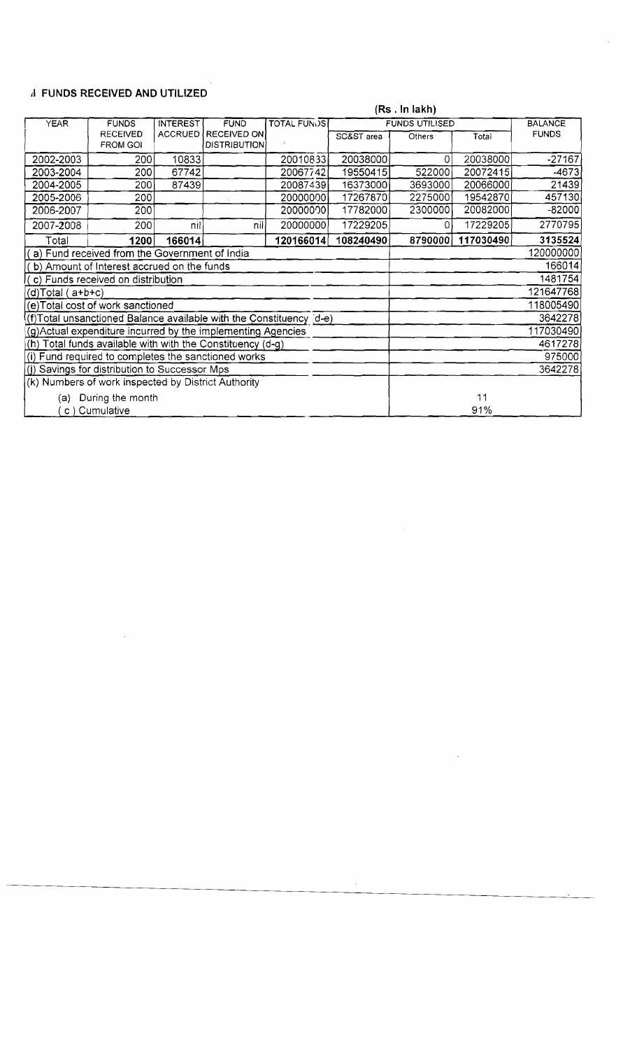## II **FUNDS RECEIVED AND UTILIZED**

 $\mathcal{L}(\mathcal{L}^{\mathcal{L}})$  and  $\mathcal{L}(\mathcal{L}^{\mathcal{L}})$  and  $\mathcal{L}(\mathcal{L}^{\mathcal{L}})$ 

|                                                                     |                                                     | (Rs. In lak)    |                                            |                     |            |                       |                |              |  |
|---------------------------------------------------------------------|-----------------------------------------------------|-----------------|--------------------------------------------|---------------------|------------|-----------------------|----------------|--------------|--|
| <b>YEAR</b>                                                         | <b>FUNDS</b>                                        | <b>INTEREST</b> | <b>FUND</b>                                | <b>TOTAL FUNDS!</b> |            | <b>FUNDS UTILISED</b> | <b>BALANCE</b> |              |  |
|                                                                     | <b>RECEIVED</b><br><b>FROM GOI</b>                  |                 | ACCRUED RECEIVED ON<br><b>DISTRIBUTION</b> |                     | SC&ST area | Others                | Total          | <b>FUNDS</b> |  |
| 2002-2003                                                           | 200                                                 | 10833           |                                            | 20010833            | 20038000   | 0                     | 20038000       | $-27167$     |  |
| 2003-2004                                                           | 200                                                 | 67742           |                                            | 20067742            | 19550415   | 522000                | 20072415       | $-4673$      |  |
| 2004-2005                                                           | 200                                                 | 87439           |                                            | 20087439            | 16373000   | 3693000               | 20066000       | 21439        |  |
| 2005-2006                                                           | 200                                                 |                 |                                            | 20000000            | 17267870   | 2275000               | 19542870       | 457130       |  |
| 2006-2007                                                           | 200                                                 |                 |                                            | 20000000            | 17782000   | 2300000               | 20082000       | $-82000$     |  |
| 2007-2008                                                           | 200                                                 | nil             | nil                                        | 20000000            | 17229205   | 0                     | 17229205       | 2770795      |  |
| Total                                                               | 1200                                                | 166014          |                                            | 120166014           | 108240490  | 8790000               | 117030490      | 3135524      |  |
| a) Fund received from the Government of India                       |                                                     |                 |                                            |                     |            |                       |                | 120000000    |  |
| b) Amount of Interest accrued on the funds                          |                                                     |                 |                                            |                     |            | 166014                |                |              |  |
| c) Funds received on distribution                                   |                                                     |                 |                                            |                     |            |                       |                | 1481754      |  |
| $(d)Total (a+b+c)$                                                  |                                                     |                 |                                            |                     |            |                       |                | 121647768    |  |
| (e)Total cost of work sanctioned                                    |                                                     |                 |                                            |                     |            |                       |                | 118005490    |  |
| (f)Total unsanctioned Balance available with the Constituency (d-e) |                                                     |                 | 3642278                                    |                     |            |                       |                |              |  |
| (g)Actual expenditure incurred by the implementing Agencies         |                                                     |                 | 117030490                                  |                     |            |                       |                |              |  |
| (h) Total funds available with with the Constituency $(d-g)$        |                                                     |                 | 4617278                                    |                     |            |                       |                |              |  |
| (i) Fund required to completes the sanctioned works                 |                                                     |                 |                                            |                     |            |                       |                | 975000       |  |
| (i) Savings for distribution to Successor Mps                       |                                                     |                 |                                            |                     |            |                       |                | 3642278      |  |
|                                                                     | (k) Numbers of work inspected by District Authority |                 |                                            |                     |            |                       |                |              |  |
| During the month<br>(a)                                             |                                                     |                 |                                            |                     |            |                       | 11             |              |  |
| Cumulative<br>$\mathsf{C}$ )                                        |                                                     |                 |                                            |                     |            |                       | 91%            |              |  |

 $\mathcal{L}^{\text{max}}_{\text{max}}$ 

 $\mathcal{A}$ 

 $\sim 10$ 

 $\omega$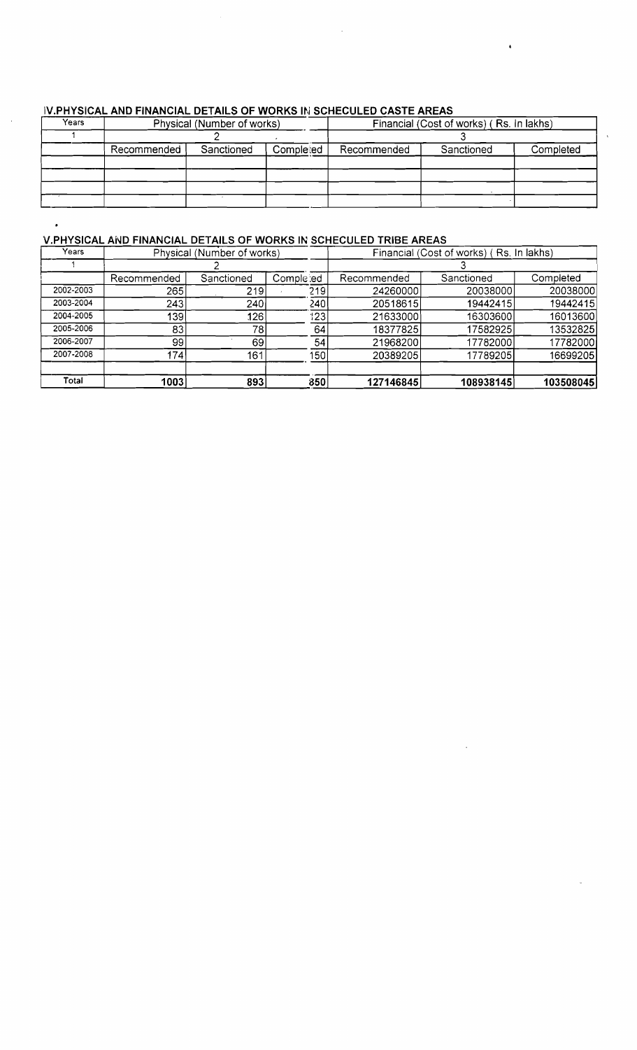## IV **PHYSICAL AND FINANCIAL DETAILS OF WORKS IN SCHECULED CASTE AREAS**

| Years |             | Physical (Number of works) |           | Financial (Cost of works) (Rs. In lakhs) |            |           |  |
|-------|-------------|----------------------------|-----------|------------------------------------------|------------|-----------|--|
|       |             |                            |           |                                          |            |           |  |
|       | Recommended | Sanctioned                 | Completed | Recommended                              | Sanctioned | Completed |  |
|       |             |                            |           |                                          |            |           |  |
|       |             |                            |           |                                          |            |           |  |
|       |             |                            |           |                                          |            |           |  |
|       |             |                            |           |                                          |            |           |  |

 $\bullet$ 

## V **PHYSICAL AND FINANCIAL DETAILS OF WORKS IN SCHECULED TRIBE AREAS**

| Years     |             | Physical (Number of works) |           | Financial (Cost of works) (Rs. In lakhs) |            |           |  |
|-----------|-------------|----------------------------|-----------|------------------------------------------|------------|-----------|--|
|           |             |                            |           |                                          |            |           |  |
|           | Recommended | Sanctioned                 | Completed | Recommended                              | Sanctioned | Completed |  |
| 2002-2003 | 265         | 219                        | 219.      | 24260000                                 | 20038000   | 20038000  |  |
| 2003-2004 | 243         | 240 l                      | 240       | 20518615                                 | 19442415   | 19442415  |  |
| 2004-2005 | 139         | 126                        | 123       | 21633000                                 | 16303600   | 16013600  |  |
| 2005-2006 | 83          | 78)                        | 64        | 18377825                                 | 17582925   | 13532825  |  |
| 2006-2007 | 99          | 69                         | 54        | 21968200                                 | 17782000   | 17782000  |  |
| 2007-2008 | 174         | 161                        | 50        | 20389205                                 | 17789205   | 16699205  |  |
|           |             |                            |           |                                          |            |           |  |
| Total     | 1003        | 893                        | 850       | 127146845                                | 108938145  | 103508045 |  |